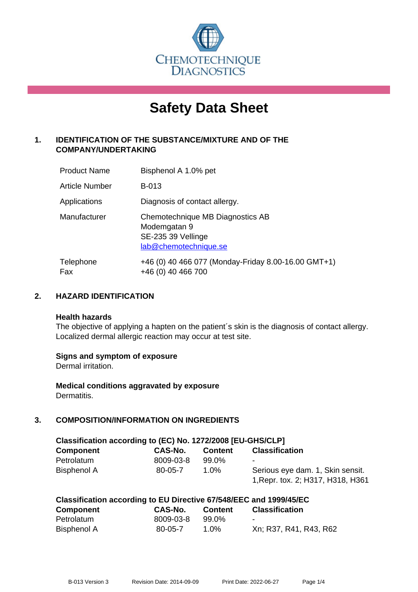

# **Safety Data Sheet**

# **1. IDENTIFICATION OF THE SUBSTANCE/MIXTURE AND OF THE COMPANY/UNDERTAKING**

| <b>Product Name</b> | Bisphenol A 1.0% pet                                                                            |
|---------------------|-------------------------------------------------------------------------------------------------|
| Article Number      | <b>B-013</b>                                                                                    |
| Applications        | Diagnosis of contact allergy.                                                                   |
| Manufacturer        | Chemotechnique MB Diagnostics AB<br>Modemgatan 9<br>SE-235 39 Vellinge<br>lab@chemotechnique.se |
| Telephone<br>Fax    | +46 (0) 40 466 077 (Monday-Friday 8.00-16.00 GMT+1)<br>+46 (0) 40 466 700                       |

## **2. HAZARD IDENTIFICATION**

#### **Health hazards**

The objective of applying a hapten on the patient's skin is the diagnosis of contact allergy. Localized dermal allergic reaction may occur at test site.

#### **Signs and symptom of exposure**

Dermal irritation.

**Medical conditions aggravated by exposure** Dermatitis.

# **3. COMPOSITION/INFORMATION ON INGREDIENTS**

| Classification according to (EC) No. 1272/2008 [EU-GHS/CLP] |           |                |                                   |  |
|-------------------------------------------------------------|-----------|----------------|-----------------------------------|--|
| <b>Component</b>                                            | CAS-No.   | <b>Content</b> | <b>Classification</b>             |  |
| Petrolatum                                                  | 8009-03-8 | 99.0%          |                                   |  |
| Bisphenol A                                                 | 80-05-7   | 1.0%           | Serious eye dam. 1, Skin sensit.  |  |
|                                                             |           |                | 1, Repr. tox. 2; H317, H318, H361 |  |

| Classification according to EU Directive 67/548/EEC and 1999/45/EC |               |                |                        |  |
|--------------------------------------------------------------------|---------------|----------------|------------------------|--|
| <b>Component</b>                                                   | CAS-No.       | <b>Content</b> | <b>Classification</b>  |  |
| Petrolatum                                                         | 8009-03-8     | 99.0%          | $\blacksquare$         |  |
| Bisphenol A                                                        | $80 - 05 - 7$ | 1.0%           | Xn; R37, R41, R43, R62 |  |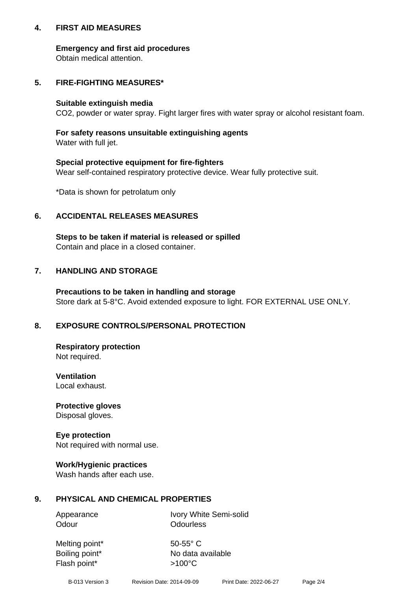## **4. FIRST AID MEASURES**

## **Emergency and first aid procedures**

Obtain medical attention.

# **5. FIRE-FIGHTING MEASURES\***

#### **Suitable extinguish media**

CO2, powder or water spray. Fight larger fires with water spray or alcohol resistant foam.

# **For safety reasons unsuitable extinguishing agents**

Water with full jet.

## **Special protective equipment for fire-fighters**

Wear self-contained respiratory protective device. Wear fully protective suit.

\*Data is shown for petrolatum only

# **6. ACCIDENTAL RELEASES MEASURES**

**Steps to be taken if material is released or spilled** Contain and place in a closed container.

# **7. HANDLING AND STORAGE**

**Precautions to be taken in handling and storage** Store dark at 5-8°C. Avoid extended exposure to light. FOR EXTERNAL USE ONLY.

# **8. EXPOSURE CONTROLS/PERSONAL PROTECTION**

**Respiratory protection** Not required.

**Ventilation** Local exhaust.

**Protective gloves** Disposal gloves.

#### **Eye protection** Not required with normal use.

## **Work/Hygienic practices**

Wash hands after each use.

## **9. PHYSICAL AND CHEMICAL PROPERTIES**

Odour **Odourless** 

Appearance Ivory White Semi-solid

Melting point\* 50-55° C Flash point\*  $>100^{\circ}$ C

Boiling point\* No data available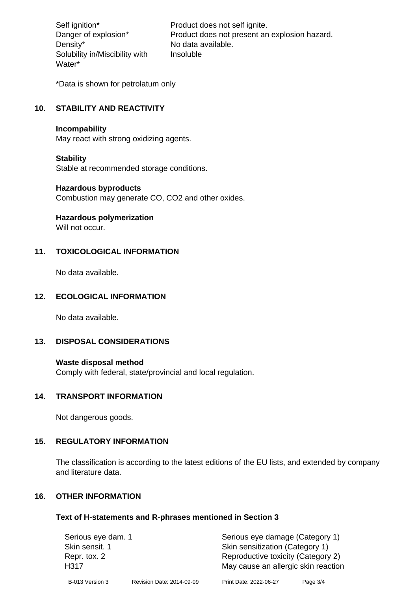Density\* No data available. Solubility in/Miscibility with Water\*

Self ignition\* Product does not self ignite. Danger of explosion\* Product does not present an explosion hazard. Insoluble

\*Data is shown for petrolatum only

# **10. STABILITY AND REACTIVITY**

#### **Incompability**

May react with strong oxidizing agents.

#### **Stability**

Stable at recommended storage conditions.

#### **Hazardous byproducts**

Combustion may generate CO, CO2 and other oxides.

**Hazardous polymerization**

Will not occur.

## **11. TOXICOLOGICAL INFORMATION**

No data available.

## **12. ECOLOGICAL INFORMATION**

No data available.

## **13. DISPOSAL CONSIDERATIONS**

#### **Waste disposal method**

Comply with federal, state/provincial and local regulation.

#### **14. TRANSPORT INFORMATION**

Not dangerous goods.

## **15. REGULATORY INFORMATION**

The classification is according to the latest editions of the EU lists, and extended by company and literature data.

#### **16. OTHER INFORMATION**

#### **Text of H-statements and R-phrases mentioned in Section 3**

| Serious eye dam. 1   |                           | Serious eye damage (Category 1)                                           |          |  |
|----------------------|---------------------------|---------------------------------------------------------------------------|----------|--|
| Skin sensit. 1       |                           | Skin sensitization (Category 1)                                           |          |  |
| Repr. tox. 2<br>H317 |                           | Reproductive toxicity (Category 2)<br>May cause an allergic skin reaction |          |  |
| B-013 Version 3      | Revision Date: 2014-09-09 | Print Date: 2022-06-27                                                    | Page 3/4 |  |